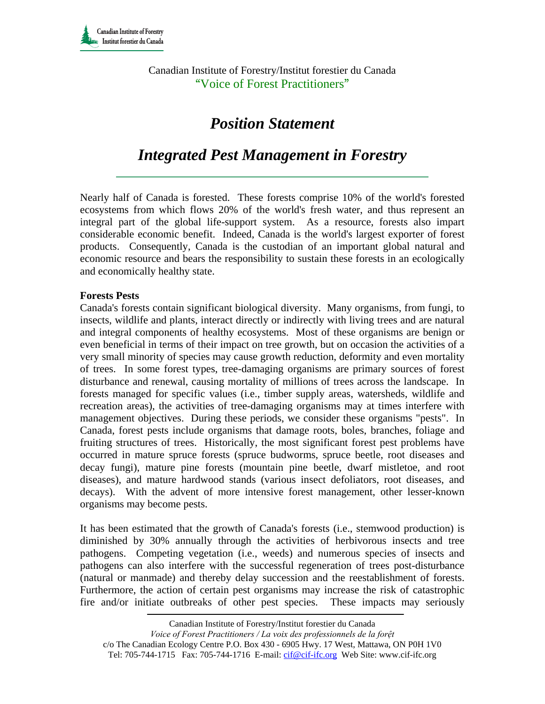Canadian Institute of Forestry/Institut forestier du Canada "Voice of Forest Practitioners"

# *Position Statement*

## *Integrated Pest Management in Forestry*

Nearly half of Canada is forested. These forests comprise 10% of the world's forested ecosystems from which flows 20% of the world's fresh water, and thus represent an integral part of the global life-support system. As a resource, forests also impart considerable economic benefit. Indeed, Canada is the world's largest exporter of forest products. Consequently, Canada is the custodian of an important global natural and economic resource and bears the responsibility to sustain these forests in an ecologically and economically healthy state.

#### **Forests Pests**

Canada's forests contain significant biological diversity. Many organisms, from fungi, to insects, wildlife and plants, interact directly or indirectly with living trees and are natural and integral components of healthy ecosystems. Most of these organisms are benign or even beneficial in terms of their impact on tree growth, but on occasion the activities of a very small minority of species may cause growth reduction, deformity and even mortality of trees. In some forest types, tree-damaging organisms are primary sources of forest disturbance and renewal, causing mortality of millions of trees across the landscape. In forests managed for specific values (i.e., timber supply areas, watersheds, wildlife and recreation areas), the activities of tree-damaging organisms may at times interfere with management objectives. During these periods, we consider these organisms "pests". In Canada, forest pests include organisms that damage roots, boles, branches, foliage and fruiting structures of trees. Historically, the most significant forest pest problems have occurred in mature spruce forests (spruce budworms, spruce beetle, root diseases and decay fungi), mature pine forests (mountain pine beetle, dwarf mistletoe, and root diseases), and mature hardwood stands (various insect defoliators, root diseases, and decays). With the advent of more intensive forest management, other lesser-known organisms may become pests.

It has been estimated that the growth of Canada's forests (i.e., stemwood production) is diminished by 30% annually through the activities of herbivorous insects and tree pathogens. Competing vegetation (i.e., weeds) and numerous species of insects and pathogens can also interfere with the successful regeneration of trees post-disturbance (natural or manmade) and thereby delay succession and the reestablishment of forests. Furthermore, the action of certain pest organisms may increase the risk of catastrophic fire and/or initiate outbreaks of other pest species. These impacts may seriously

Canadian Institute of Forestry/Institut forestier du Canada *Voice of Forest Practitioners / La voix des professionnels de la forệt*  c/o The Canadian Ecology Centre P.O. Box 430 - 6905 Hwy. 17 West, Mattawa, ON P0H 1V0 Tel: 705-744-1715 Fax: 705-744-1716 E-mail: cif@cif-ifc.org Web Site: www.cif-ifc.org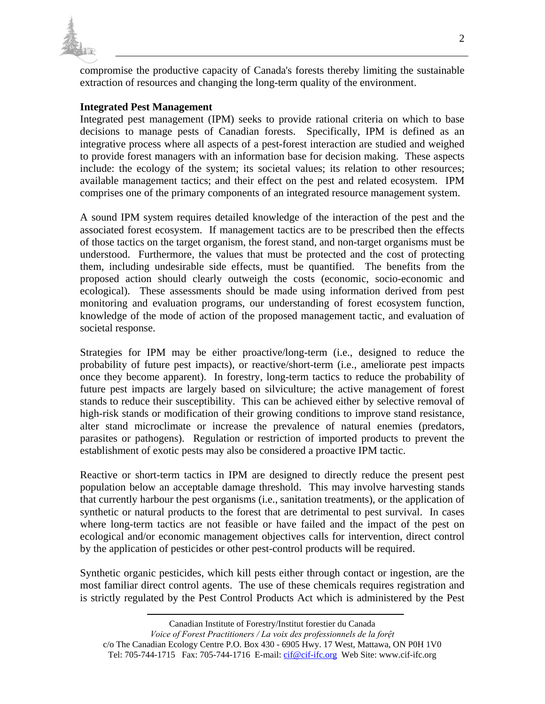

compromise the productive capacity of Canada's forests thereby limiting the sustainable extraction of resources and changing the long-term quality of the environment.

#### **Integrated Pest Management**

Integrated pest management (IPM) seeks to provide rational criteria on which to base decisions to manage pests of Canadian forests. Specifically, IPM is defined as an integrative process where all aspects of a pest-forest interaction are studied and weighed to provide forest managers with an information base for decision making. These aspects include: the ecology of the system; its societal values; its relation to other resources; available management tactics; and their effect on the pest and related ecosystem. IPM comprises one of the primary components of an integrated resource management system.

A sound IPM system requires detailed knowledge of the interaction of the pest and the associated forest ecosystem. If management tactics are to be prescribed then the effects of those tactics on the target organism, the forest stand, and non-target organisms must be understood. Furthermore, the values that must be protected and the cost of protecting them, including undesirable side effects, must be quantified. The benefits from the proposed action should clearly outweigh the costs (economic, socio-economic and ecological). These assessments should be made using information derived from pest monitoring and evaluation programs, our understanding of forest ecosystem function, knowledge of the mode of action of the proposed management tactic, and evaluation of societal response.

Strategies for IPM may be either proactive/long-term (i.e., designed to reduce the probability of future pest impacts), or reactive/short-term (i.e., ameliorate pest impacts once they become apparent). In forestry, long-term tactics to reduce the probability of future pest impacts are largely based on silviculture; the active management of forest stands to reduce their susceptibility. This can be achieved either by selective removal of high-risk stands or modification of their growing conditions to improve stand resistance, alter stand microclimate or increase the prevalence of natural enemies (predators, parasites or pathogens). Regulation or restriction of imported products to prevent the establishment of exotic pests may also be considered a proactive IPM tactic.

Reactive or short-term tactics in IPM are designed to directly reduce the present pest population below an acceptable damage threshold. This may involve harvesting stands that currently harbour the pest organisms (i.e., sanitation treatments), or the application of synthetic or natural products to the forest that are detrimental to pest survival. In cases where long-term tactics are not feasible or have failed and the impact of the pest on ecological and/or economic management objectives calls for intervention, direct control by the application of pesticides or other pest-control products will be required.

Synthetic organic pesticides, which kill pests either through contact or ingestion, are the most familiar direct control agents. The use of these chemicals requires registration and is strictly regulated by the Pest Control Products Act which is administered by the Pest

Canadian Institute of Forestry/Institut forestier du Canada

*Voice of Forest Practitioners / La voix des professionnels de la forệt* 

c/o The Canadian Ecology Centre P.O. Box 430 - 6905 Hwy. 17 West, Mattawa, ON P0H 1V0 Tel: 705-744-1715 Fax: 705-744-1716 E-mail: cif@cif-ifc.org Web Site: www.cif-ifc.org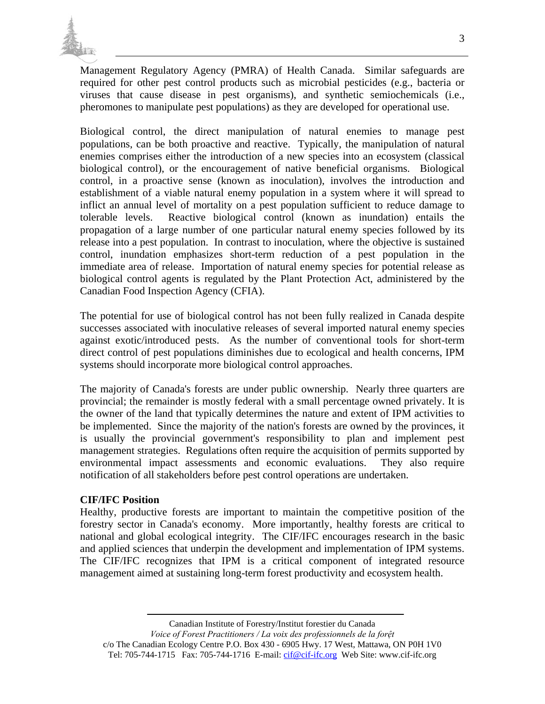

Management Regulatory Agency (PMRA) of Health Canada. Similar safeguards are required for other pest control products such as microbial pesticides (e.g., bacteria or viruses that cause disease in pest organisms), and synthetic semiochemicals (i.e., pheromones to manipulate pest populations) as they are developed for operational use.

Biological control, the direct manipulation of natural enemies to manage pest populations, can be both proactive and reactive. Typically, the manipulation of natural enemies comprises either the introduction of a new species into an ecosystem (classical biological control), or the encouragement of native beneficial organisms. Biological control, in a proactive sense (known as inoculation), involves the introduction and establishment of a viable natural enemy population in a system where it will spread to inflict an annual level of mortality on a pest population sufficient to reduce damage to tolerable levels. Reactive biological control (known as inundation) entails the propagation of a large number of one particular natural enemy species followed by its release into a pest population. In contrast to inoculation, where the objective is sustained control, inundation emphasizes short-term reduction of a pest population in the immediate area of release. Importation of natural enemy species for potential release as biological control agents is regulated by the Plant Protection Act, administered by the Canadian Food Inspection Agency (CFIA).

The potential for use of biological control has not been fully realized in Canada despite successes associated with inoculative releases of several imported natural enemy species against exotic/introduced pests. As the number of conventional tools for short-term direct control of pest populations diminishes due to ecological and health concerns, IPM systems should incorporate more biological control approaches.

The majority of Canada's forests are under public ownership. Nearly three quarters are provincial; the remainder is mostly federal with a small percentage owned privately. It is the owner of the land that typically determines the nature and extent of IPM activities to be implemented. Since the majority of the nation's forests are owned by the provinces, it is usually the provincial government's responsibility to plan and implement pest management strategies. Regulations often require the acquisition of permits supported by environmental impact assessments and economic evaluations. They also require notification of all stakeholders before pest control operations are undertaken.

### **CIF/IFC Position**

Healthy, productive forests are important to maintain the competitive position of the forestry sector in Canada's economy. More importantly, healthy forests are critical to national and global ecological integrity. The CIF/IFC encourages research in the basic and applied sciences that underpin the development and implementation of IPM systems. The CIF/IFC recognizes that IPM is a critical component of integrated resource management aimed at sustaining long-term forest productivity and ecosystem health.

Canadian Institute of Forestry/Institut forestier du Canada